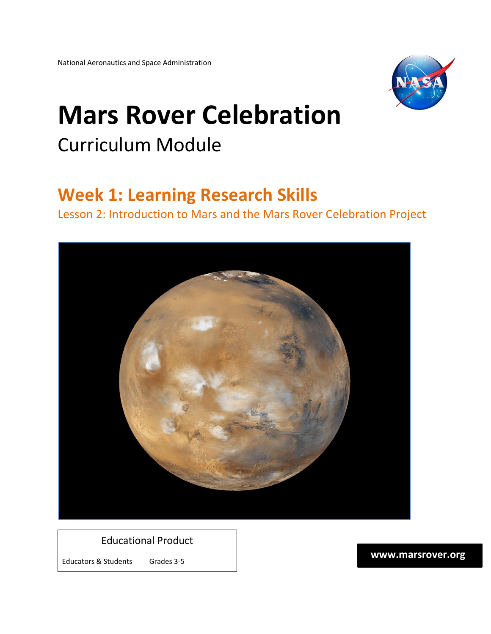

# **Mars Rover Celebration** Curriculum Module

### **Week 1: Learning Research Skills**

Lesson 2: Introduction to Mars and the Mars Rover Celebration Project



#### Educational Product

Educators & Students | Grades 3-5

**www.marsrover.org**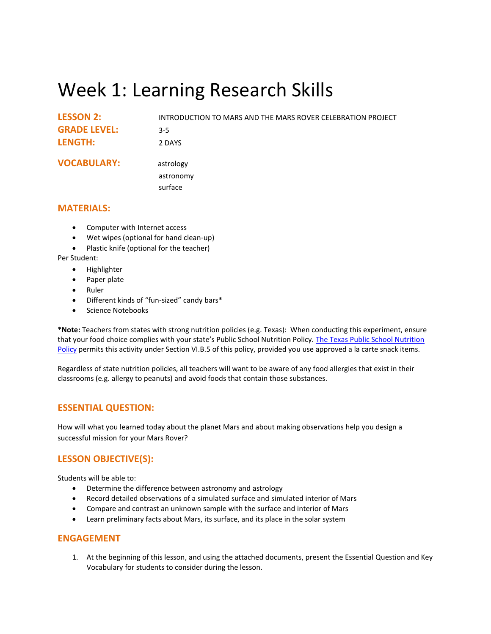## Week 1: Learning Research Skills

| <b>LESSON 2:</b>    | INTRODUCTION TO MARS AND THE MARS ROVER CELEBRATION PROJECT |
|---------------------|-------------------------------------------------------------|
| <b>GRADE LEVEL:</b> | $3 - 5$                                                     |
| <b>LENGTH:</b>      | 2 DAYS                                                      |
| <b>VOCABULARY:</b>  | astrology                                                   |
|                     | astronomy                                                   |
|                     | surface                                                     |

#### **MATERIALS:**

- Computer with Internet access
- Wet wipes (optional for hand clean-up)
- Plastic knife (optional for the teacher)

Per Student:

- Highlighter
- Paper plate
- Ruler
- Different kinds of "fun-sized" candy bars\*
- Science Notebooks

**\*Note:** Teachers from states with strong nutrition policies (e.g. Texas): When conducting this experiment, ensure that your food choice complies with your state's Public School Nutrition Policy. The Texas Public School Nutrition [Policy](http://www.squaremeals.org/Portals/8/files/ARM/Section%2020-TPSNP.pdf) permits this activity under Section VI.B.5 of this policy, provided you use approved a la carte snack items.

Regardless of state nutrition policies, all teachers will want to be aware of any food allergies that exist in their classrooms (e.g. allergy to peanuts) and avoid foods that contain those substances.

#### **ESSENTIAL QUESTION:**

How will what you learned today about the planet Mars and about making observations help you design a successful mission for your Mars Rover?

#### **LESSON OBJECTIVE(S):**

Students will be able to:

- Determine the difference between astronomy and astrology
- Record detailed observations of a simulated surface and simulated interior of Mars
- Compare and contrast an unknown sample with the surface and interior of Mars
- Learn preliminary facts about Mars, its surface, and its place in the solar system

#### **ENGAGEMENT**

1. At the beginning of this lesson, and using the attached documents, present the Essential Question and Key Vocabulary for students to consider during the lesson.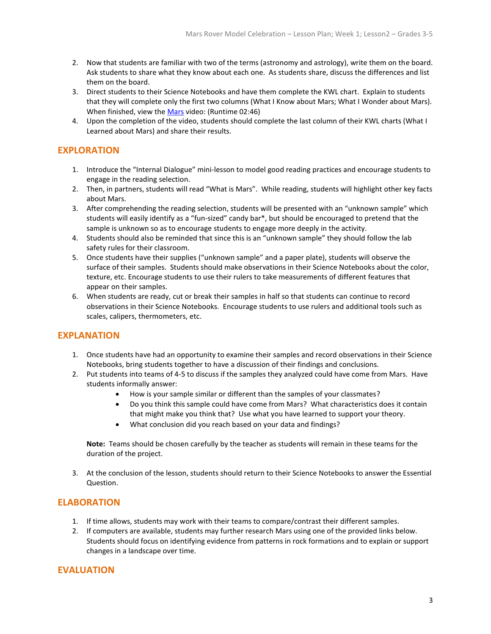- 2. Now that students are familiar with two of the terms (astronomy and astrology), write them on the board. Ask students to share what they know about each one. As students share, discuss the differences and list them on the board.
- 3. Direct students to their Science Notebooks and have them complete the KWL chart. Explain to students that they will complete only the first two columns (What I Know about Mars; What I Wonder about Mars). When finished, view th[e Mars](http://www.brainpop.com/science/space/mars/) video: (Runtime 02:46)
- 4. Upon the completion of the video, students should complete the last column of their KWL charts (What I Learned about Mars) and share their results.

#### **EXPLORATION**

- 1. Introduce the "Internal Dialogue" mini-lesson to model good reading practices and encourage students to engage in the reading selection.
- 2. Then, in partners, students will read "What is Mars". While reading, students will highlight other key facts about Mars.
- 3. After comprehending the reading selection, students will be presented with an "unknown sample" which students will easily identify as a "fun-sized" candy bar\*, but should be encouraged to pretend that the sample is unknown so as to encourage students to engage more deeply in the activity.
- 4. Students should also be reminded that since this is an "unknown sample" they should follow the lab safety rules for their classroom.
- 5. Once students have their supplies ("unknown sample" and a paper plate), students will observe the surface of their samples. Students should make observations in their Science Notebooks about the color, texture, etc. Encourage students to use their rulers to take measurements of different features that appear on their samples.
- 6. When students are ready, cut or break their samples in half so that students can continue to record observations in their Science Notebooks. Encourage students to use rulers and additional tools such as scales, calipers, thermometers, etc.

#### **EXPLANATION**

- 1. Once students have had an opportunity to examine their samples and record observations in their Science Notebooks, bring students together to have a discussion of their findings and conclusions.
- 2. Put students into teams of 4-5 to discuss if the samples they analyzed could have come from Mars. Have students informally answer:
	- How is your sample similar or different than the samples of your classmates?
	- Do you think this sample could have come from Mars? What characteristics does it contain that might make you think that? Use what you have learned to support your theory.
	- What conclusion did you reach based on your data and findings?

**Note:** Teams should be chosen carefully by the teacher as students will remain in these teams for the duration of the project.

3. At the conclusion of the lesson, students should return to their Science Notebooks to answer the Essential Question.

#### **ELABORATION**

- 1. If time allows, students may work with their teams to compare/contrast their different samples.
- 2. If computers are available, students may further research Mars using one of the provided links below. Students should focus on identifying evidence from patterns in rock formations and to explain or support changes in a landscape over time.

#### **EVALUATION**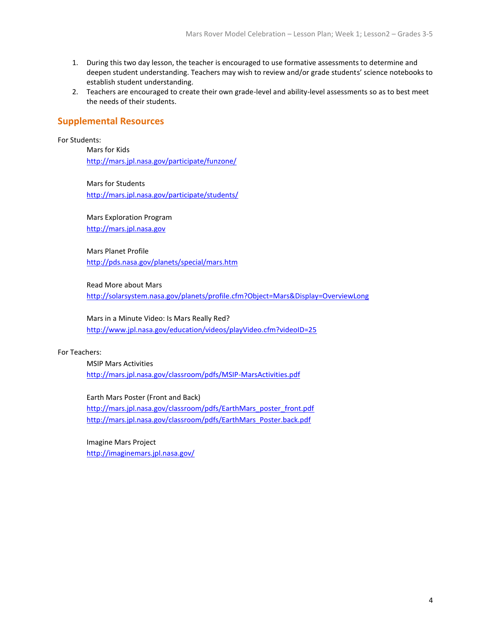- 1. During this two day lesson, the teacher is encouraged to use formative assessments to determine and deepen student understanding. Teachers may wish to review and/or grade students' science notebooks to establish student understanding.
- 2. Teachers are encouraged to create their own grade-level and ability-level assessments so as to best meet the needs of their students.

#### **Supplemental Resources**

For Students:

Mars for Kids <http://mars.jpl.nasa.gov/participate/funzone/>

Mars for Students <http://mars.jpl.nasa.gov/participate/students/>

Mars Exploration Program

[http://mars.jpl.nasa.gov](http://mars.jpl.nasa.gov/)

Mars Planet Profile <http://pds.nasa.gov/planets/special/mars.htm>

Read More about Mars

<http://solarsystem.nasa.gov/planets/profile.cfm?Object=Mars&Display=OverviewLong>

Mars in a Minute Video: Is Mars Really Red? <http://www.jpl.nasa.gov/education/videos/playVideo.cfm?videoID=25>

#### For Teachers:

MSIP Mars Activities <http://mars.jpl.nasa.gov/classroom/pdfs/MSIP-MarsActivities.pdf>

Earth Mars Poster (Front and Back)

[http://mars.jpl.nasa.gov/classroom/pdfs/EarthMars\\_poster\\_front.pdf](http://mars.jpl.nasa.gov/classroom/pdfs/EarthMars_poster_front.pdf) [http://mars.jpl.nasa.gov/classroom/pdfs/EarthMars\\_Poster.back.pdf](http://mars.jpl.nasa.gov/classroom/pdfs/EarthMars_Poster.back.pdf)

Imagine Mars Project <http://imaginemars.jpl.nasa.gov/>